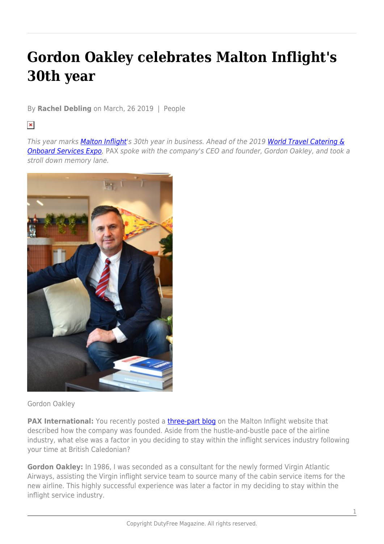## **Gordon Oakley celebrates Malton Inflight's 30th year**

By **Rachel Debling** on March, 26 2019 | People

## $\pmb{\times}$

This year marks [Malton Inflight](https://www.maltoninflight.com/)'s 30th year in business. Ahead of the 2019 [World Travel Catering &](https://www.worldtravelcateringexpo.com/) **Onboard Services Expo**, PAX spoke with the company's CEO and founder, Gordon Oakley, and took a stroll down memory lane.



Gordon Oakley

**PAX International:** You recently posted a **three-part blog** on the Malton Inflight website that described how the company was founded. Aside from the hustle-and-bustle pace of the airline industry, what else was a factor in you deciding to stay within the inflight services industry following your time at British Caledonian?

**Gordon Oakley:** In 1986, I was seconded as a consultant for the newly formed Virgin Atlantic Airways, assisting the Virgin inflight service team to source many of the cabin service items for the new airline. This highly successful experience was later a factor in my deciding to stay within the inflight service industry.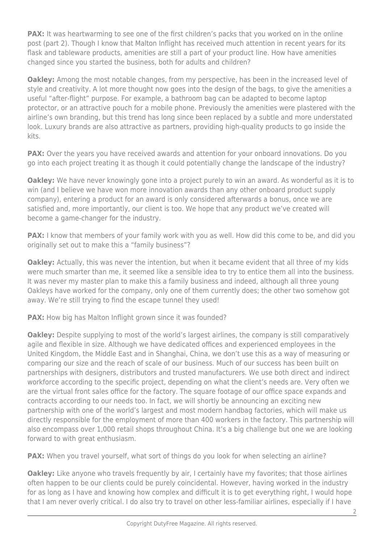**PAX:** It was heartwarming to see one of the first children's packs that you worked on in the online post (part 2). Though I know that Malton Inflight has received much attention in recent years for its flask and tableware products, amenities are still a part of your product line. How have amenities changed since you started the business, both for adults and children?

**Oakley:** Among the most notable changes, from my perspective, has been in the increased level of style and creativity. A lot more thought now goes into the design of the bags, to give the amenities a useful "after-flight" purpose. For example, a bathroom bag can be adapted to become laptop protector, or an attractive pouch for a mobile phone. Previously the amenities were plastered with the airline's own branding, but this trend has long since been replaced by a subtle and more understated look. Luxury brands are also attractive as partners, providing high-quality products to go inside the kits.

**PAX:** Over the years you have received awards and attention for your onboard innovations. Do you go into each project treating it as though it could potentially change the landscape of the industry?

**Oakley:** We have never knowingly gone into a project purely to win an award. As wonderful as it is to win (and I believe we have won more innovation awards than any other onboard product supply company), entering a product for an award is only considered afterwards a bonus, once we are satisfied and, more importantly, our client is too. We hope that any product we've created will become a game-changer for the industry.

**PAX:** I know that members of your family work with you as well. How did this come to be, and did you originally set out to make this a "family business"?

**Oakley:** Actually, this was never the intention, but when it became evident that all three of my kids were much smarter than me, it seemed like a sensible idea to try to entice them all into the business. It was never my master plan to make this a family business and indeed, although all three young Oakleys have worked for the company, only one of them currently does; the other two somehow got away. We're still trying to find the escape tunnel they used!

**PAX:** How big has Malton Inflight grown since it was founded?

**Oakley:** Despite supplying to most of the world's largest airlines, the company is still comparatively agile and flexible in size. Although we have dedicated offices and experienced employees in the United Kingdom, the Middle East and in Shanghai, China, we don't use this as a way of measuring or comparing our size and the reach of scale of our business. Much of our success has been built on partnerships with designers, distributors and trusted manufacturers. We use both direct and indirect workforce according to the specific project, depending on what the client's needs are. Very often we are the virtual front sales office for the factory. The square footage of our office space expands and contracts according to our needs too. In fact, we will shortly be announcing an exciting new partnership with one of the world's largest and most modern handbag factories, which will make us directly responsible for the employment of more than 400 workers in the factory. This partnership will also encompass over 1,000 retail shops throughout China. It's a big challenge but one we are looking forward to with great enthusiasm.

**PAX:** When you travel yourself, what sort of things do you look for when selecting an airline?

**Oakley:** Like anyone who travels frequently by air, I certainly have my favorites; that those airlines often happen to be our clients could be purely coincidental. However, having worked in the industry for as long as I have and knowing how complex and difficult it is to get everything right, I would hope that I am never overly critical. I do also try to travel on other less-familiar airlines, especially if I have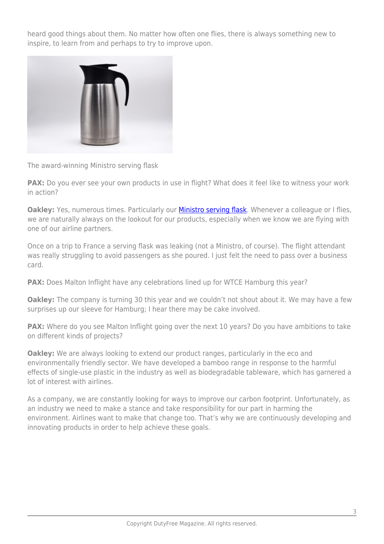heard good things about them. No matter how often one flies, there is always something new to inspire, to learn from and perhaps to try to improve upon.



The award-winning Ministro serving flask

**PAX:** Do you ever see your own products in use in flight? What does it feel like to witness your work in action?

**Oakley:** Yes, numerous times. Particularly our **Ministro serving flask**. Whenever a colleague or I flies, we are naturally always on the lookout for our products, especially when we know we are flying with one of our airline partners.

Once on a trip to France a serving flask was leaking (not a Ministro, of course). The flight attendant was really struggling to avoid passengers as she poured. I just felt the need to pass over a business card.

**PAX:** Does Malton Inflight have any celebrations lined up for WTCE Hamburg this year?

**Oakley:** The company is turning 30 this year and we couldn't not shout about it. We may have a few surprises up our sleeve for Hamburg; I hear there may be cake involved.

**PAX:** Where do you see Malton Inflight going over the next 10 years? Do you have ambitions to take on different kinds of projects?

**Oakley:** We are always looking to extend our product ranges, particularly in the eco and environmentally friendly sector. We have developed a bamboo range in response to the harmful effects of single-use plastic in the industry as well as biodegradable tableware, which has garnered a lot of interest with airlines.

As a company, we are constantly looking for ways to improve our carbon footprint. Unfortunately, as an industry we need to make a stance and take responsibility for our part in harming the environment. Airlines want to make that change too. That's why we are continuously developing and innovating products in order to help achieve these goals.